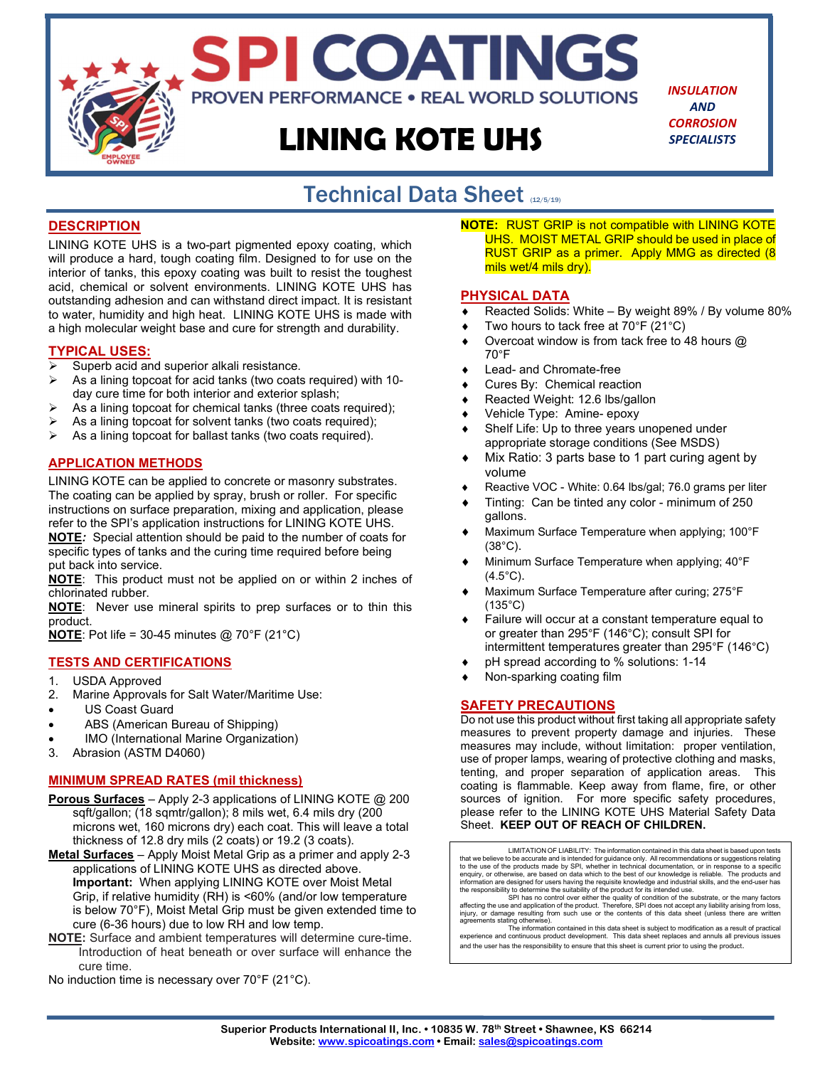# LINING KOTE UHS

SPI COATINGS

**PROVEN PERFORMANCE . REAL WORLD SOLUTIONS** 

INSULATION **AND CORROSION** SPECIALISTS

#### Technical Data Sheet (12/5/19) í

#### **DESCRIPTION**

LINING KOTE UHS is a two-part pigmented epoxy coating, which will produce a hard, tough coating film. Designed to for use on the interior of tanks, this epoxy coating was built to resist the toughest acid, chemical or solvent environments. LINING KOTE UHS has outstanding adhesion and can withstand direct impact. It is resistant to water, humidity and high heat. LINING KOTE UHS is made with a high molecular weight base and cure for strength and durability.

#### TYPICAL USES:

- $\triangleright$  Superb acid and superior alkali resistance.
- $\triangleright$  As a lining topcoat for acid tanks (two coats required) with 10day cure time for both interior and exterior splash;
- As a lining topcoat for chemical tanks (three coats required);
- As a lining topcoat for solvent tanks (two coats required);
- $\triangleright$  As a lining topcoat for ballast tanks (two coats required).

#### APPLICATION METHODS

LINING KOTE can be applied to concrete or masonry substrates. The coating can be applied by spray, brush or roller. For specific instructions on surface preparation, mixing and application, please refer to the SPI's application instructions for LINING KOTE UHS.

NOTE: Special attention should be paid to the number of coats for specific types of tanks and the curing time required before being put back into service.

NOTE: This product must not be applied on or within 2 inches of chlorinated rubber.

**NOTE:** Never use mineral spirits to prep surfaces or to thin this product.

**NOTE:** Pot life = 30-45 minutes  $@$  70°F (21°C)

#### TESTS AND CERTIFICATIONS

- 1. USDA Approved
- 2. Marine Approvals for Salt Water/Maritime Use:
- US Coast Guard
- ABS (American Bureau of Shipping)
- IMO (International Marine Organization)
- 3. Abrasion (ASTM D4060)

#### MINIMUM SPREAD RATES (mil thickness)

- Porous Surfaces Apply 2-3 applications of LINING KOTE @ 200 sqft/gallon; (18 sqmtr/gallon); 8 mils wet, 6.4 mils dry (200 microns wet, 160 microns dry) each coat. This will leave a total thickness of 12.8 dry mils (2 coats) or 19.2 (3 coats).
- Metal Surfaces Apply Moist Metal Grip as a primer and apply 2-3 applications of LINING KOTE UHS as directed above. Important: When applying LINING KOTE over Moist Metal Grip, if relative humidity (RH) is <60% (and/or low temperature is below 70°F), Moist Metal Grip must be given extended time to cure (6-36 hours) due to low RH and low temp.
- NOTE: Surface and ambient temperatures will determine cure-time. Introduction of heat beneath or over surface will enhance the cure time.
- No induction time is necessary over 70°F (21°C).

**NOTE: RUST GRIP is not compatible with LINING KOTE** UHS. MOIST METAL GRIP should be used in place of RUST GRIP as a primer. Apply MMG as directed (8 mils wet/4 mils dry).

#### PHYSICAL DATA

- Reacted Solids: White By weight 89% / By volume 80%
- Two hours to tack free at 70°F (21°C)
- Overcoat window is from tack free to 48 hours @ 70°F
- Lead- and Chromate-free
- Cures By: Chemical reaction
- Reacted Weight: 12.6 lbs/gallon
- Vehicle Type: Amine- epoxy
- Shelf Life: Up to three years unopened under appropriate storage conditions (See MSDS)
- Mix Ratio: 3 parts base to 1 part curing agent by volume
- Reactive VOC White: 0.64 lbs/gal; 76.0 grams per liter
- Tinting: Can be tinted any color minimum of 250 gallons.
- Maximum Surface Temperature when applying; 100°F (38°C).
- Minimum Surface Temperature when applying; 40°F  $(4.5^{\circ}C).$
- Maximum Surface Temperature after curing; 275°F (135°C)
- Failure will occur at a constant temperature equal to or greater than 295°F (146°C); consult SPI for intermittent temperatures greater than 295°F (146°C)
- pH spread according to % solutions: 1-14
- Non-sparking coating film

#### SAFETY PRECAUTIONS

Do not use this product without first taking all appropriate safety measures to prevent property damage and injuries. These measures may include, without limitation: proper ventilation, use of proper lamps, wearing of protective clothing and masks, tenting, and proper separation of application areas. This coating is flammable. Keep away from flame, fire, or other sources of ignition. For more specific safety procedures, please refer to the LINING KOTE UHS Material Safety Data Sheet. KEEP OUT OF REACH OF CHILDREN.

LIMITATION OF LIABILITY: The information contained in this data sheet is based upon tests that we believe to be accurate and is intended for guidance only. All recommendations or suggestions relating<br>to the use of the products made by SPI, whether in technical documentation, or in response to a specific<br>enquiry

SPI has no control over either the quality of condition of the substrate, or the many factors<br>affecting the use and application of the product. Therefore, SPI does not accept any liability arising from loss,<br>injury, or dam

and the user has the responsibility to ensure that this sheet is current prior to using the product.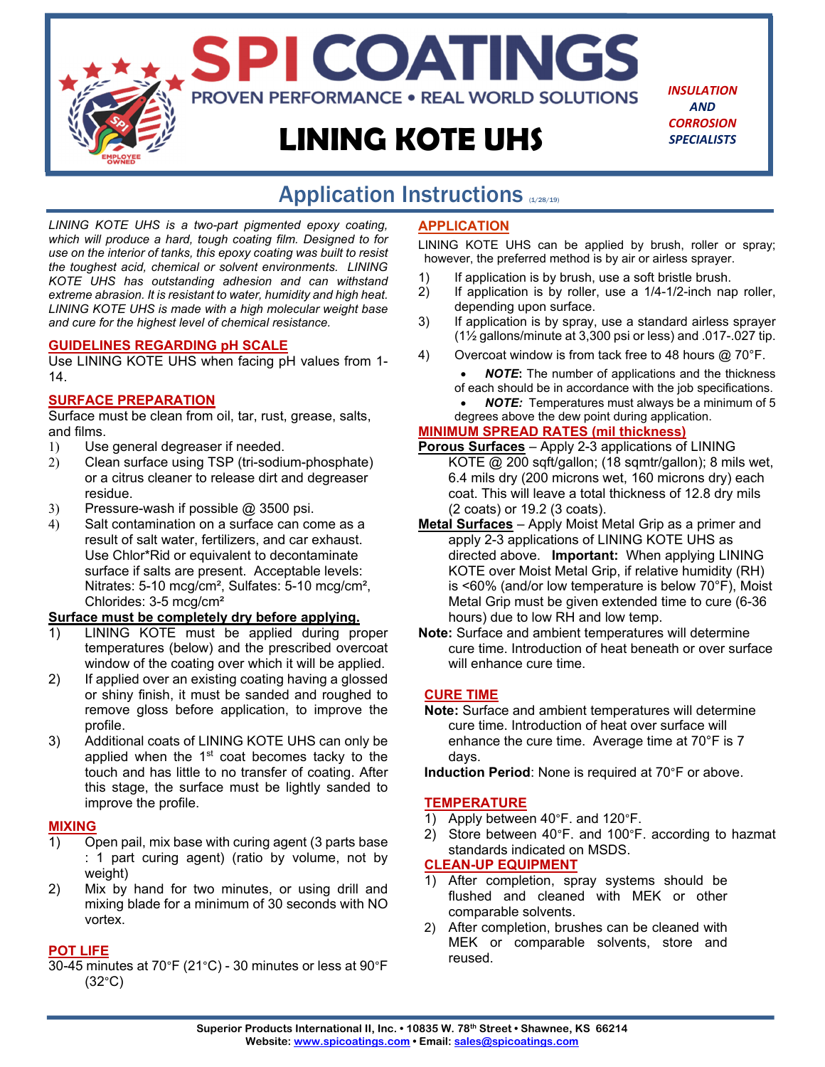# **LINING KOTE UHS**

SPI COATINGS

**PROVEN PERFORMANCE . REAL WORLD SOLUTIONS** 

*INSULATION AND CORROSION SPECIALISTS*

# Application Instructions (1/28/19)

*LINING KOTE UHS is a two-part pigmented epoxy coating, which will produce a hard, tough coating film. Designed to for use on the interior of tanks, this epoxy coating was built to resist the toughest acid, chemical or solvent environments. LINING KOTE UHS has outstanding adhesion and can withstand extreme abrasion. It is resistant to water, humidity and high heat. LINING KOTE UHS is made with a high molecular weight base and cure for the highest level of chemical resistance.* 

#### **GUIDELINES REGARDING pH SCALE**

Use LINING KOTE UHS when facing pH values from 1- 14.

#### **SURFACE PREPARATION**

Surface must be clean from oil, tar, rust, grease, salts, and films.

- 1) Use general degreaser if needed.
- 2) Clean surface using TSP (tri-sodium-phosphate) or a citrus cleaner to release dirt and degreaser residue.
- 3) Pressure-wash if possible @ 3500 psi.
- 4) Salt contamination on a surface can come as a result of salt water, fertilizers, and car exhaust. Use Chlor\*Rid or equivalent to decontaminate surface if salts are present. Acceptable levels: Nitrates: 5-10 mcg/cm², Sulfates: 5-10 mcg/cm², Chlorides: 3-5 mcg/cm²

#### **Surface must be completely dry before applying.**

- 1) LINING KOTE must be applied during proper temperatures (below) and the prescribed overcoat window of the coating over which it will be applied.
- 2) If applied over an existing coating having a glossed or shiny finish, it must be sanded and roughed to remove gloss before application, to improve the profile.
- 3) Additional coats of LINING KOTE UHS can only be applied when the  $1<sup>st</sup>$  coat becomes tacky to the touch and has little to no transfer of coating. After this stage, the surface must be lightly sanded to improve the profile.

#### **MIXING**

- 1) Open pail, mix base with curing agent (3 parts base : 1 part curing agent) (ratio by volume, not by weight)
- 2) Mix by hand for two minutes, or using drill and mixing blade for a minimum of 30 seconds with NO vortex.

#### **POT LIFE**

30-45 minutes at 70°F (21°C) - 30 minutes or less at 90°F (32°C)

#### **APPLICATION**

LINING KOTE UHS can be applied by brush, roller or spray; however, the preferred method is by air or airless sprayer.

- 1) If application is by brush, use a soft bristle brush.
- 2) If application is by roller, use a 1/4-1/2-inch nap roller, depending upon surface.
- 3) If application is by spray, use a standard airless sprayer (1½ gallons/minute at 3,300 psi or less) and .017-.027 tip.
- 4) Overcoat window is from tack free to 48 hours @ 70°F.
	- *NOTE***:** The number of applications and the thickness of each should be in accordance with the job specifications.
		- *NOTE:* Temperatures must always be a minimum of 5
	- degrees above the dew point during application.

# **MINIMUM SPREAD RATES (mil thickness)**

- **Porous Surfaces** Apply 2-3 applications of LINING KOTE @ 200 sqft/gallon; (18 sqmtr/gallon); 8 mils wet, 6.4 mils dry (200 microns wet, 160 microns dry) each coat. This will leave a total thickness of 12.8 dry mils (2 coats) or 19.2 (3 coats).
- **Metal Surfaces** Apply Moist Metal Grip as a primer and apply 2-3 applications of LINING KOTE UHS as directed above. **Important:** When applying LINING KOTE over Moist Metal Grip, if relative humidity (RH) is <60% (and/or low temperature is below 70°F), Moist Metal Grip must be given extended time to cure (6-36 hours) due to low RH and low temp.
- **Note:** Surface and ambient temperatures will determine cure time. Introduction of heat beneath or over surface will enhance cure time.

#### **CURE TIME**

**Note:** Surface and ambient temperatures will determine cure time. Introduction of heat over surface will enhance the cure time. Average time at 70°F is 7 days.

**Induction Period**: None is required at 70°F or above.

#### **TEMPERATURE**

- 1) Apply between 40°F. and 120°F.
- 2) Store between 40°F. and 100°F. according to hazmat standards indicated on MSDS.

#### **CLEAN-UP EQUIPMENT**

- 1) After completion, spray systems should be flushed and cleaned with MEK or other comparable solvents.
- 2) After completion, brushes can be cleaned with MEK or comparable solvents, store and reused.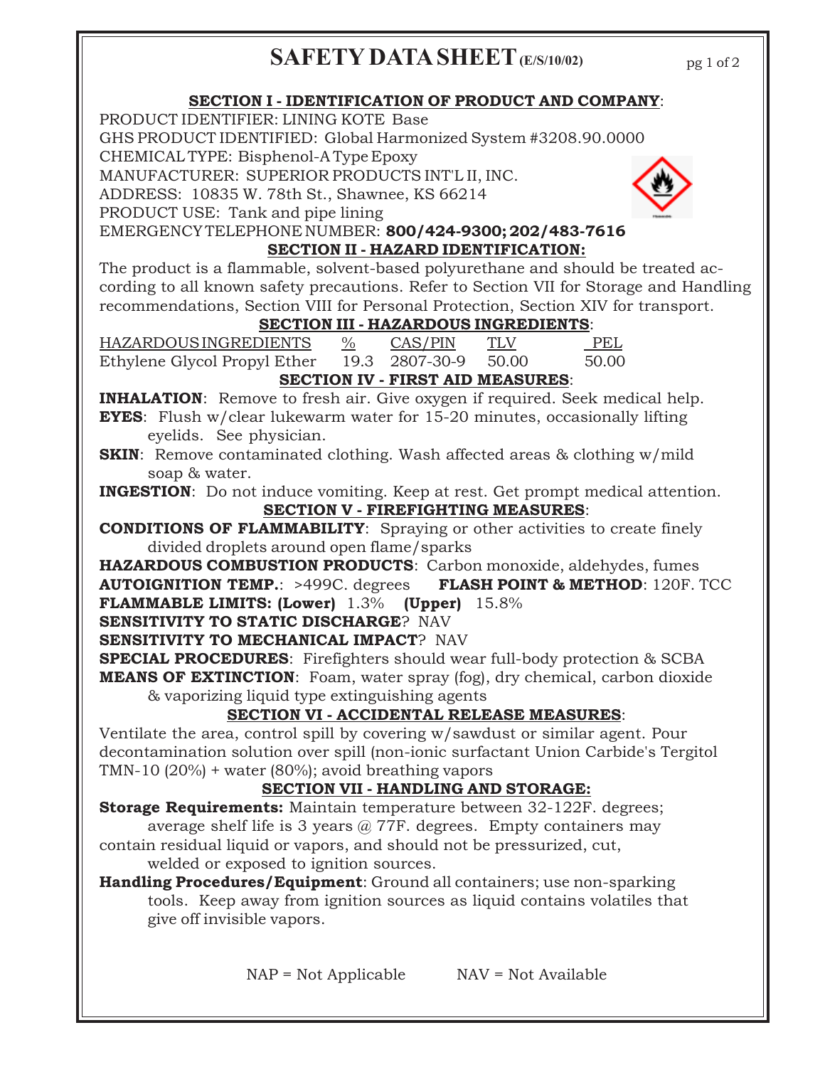# **SAFETY DATA SHEET (E/S/10/02)**

pg 1 of 2

# **SECTION I - IDENTIFICATION OF PRODUCT AND COMPANY**:

PRODUCT IDENTIFIER: LINING KOTE Base

GHS PRODUCT IDENTIFIED: Global Harmonized System #3208.90.0000

CHEMICAL TYPE: Bisphenol-A Type Epoxy

MANUFACTURER: SUPERIOR PRODUCTS INT'L II, INC.

ADDRESS: 10835 W. 78th St., Shawnee, KS 66214

PRODUCT USE: Tank and pipe lining

EMERGENCY TELEPHONE NUMBER: **800/424-9300; 202/483-7616**

# **SECTION II - HAZARD IDENTIFICATION:**

The product is a flammable, solvent-based polyurethane and should be treated according to all known safety precautions. Refer to Section VII for Storage and Handling recommendations, Section VIII for Personal Protection, Section XIV for transport.

# **SECTION III - HAZARDOUS INGREDIENTS**:

HAZARDOUS INGREDIENTS % CAS/PIN TLV PEL Ethylene Glycol Propyl Ether 19.3 2807-30-9 50.00 50.00 **SECTION IV - FIRST AID MEASURES**:

**INHALATION:** Remove to fresh air. Give oxygen if required. Seek medical help.

**EYES**: Flush w/clear lukewarm water for 15-20 minutes, occasionally lifting eyelids. See physician.

**SKIN**: Remove contaminated clothing. Wash affected areas & clothing w/mild soap & water.

**INGESTION**: Do not induce vomiting. Keep at rest. Get prompt medical attention. **SECTION V - FIREFIGHTING MEASURES**:

**CONDITIONS OF FLAMMABILITY**: Spraying or other activities to create finely divided droplets around open flame/sparks

**HAZARDOUS COMBUSTION PRODUCTS**: Carbon monoxide, aldehydes, fumes **AUTOIGNITION TEMP.**: >499C. degrees **FLASH POINT & METHOD**: 120F. TCC **FLAMMABLE LIMITS: (Lower)** 1.3% **(Upper)** 15.8%

**SENSITIVITY TO STATIC DISCHARGE**? NAV

**SENSITIVITY TO MECHANICAL IMPACT**? NAV

**SPECIAL PROCEDURES**: Firefighters should wear full-body protection & SCBA

**MEANS OF EXTINCTION**: Foam, water spray (fog), dry chemical, carbon dioxide & vaporizing liquid type extinguishing agents

# **SECTION VI - ACCIDENTAL RELEASE MEASURES**:

Ventilate the area, control spill by covering w/sawdust or similar agent. Pour decontamination solution over spill (non-ionic surfactant Union Carbide's Tergitol TMN-10 (20%) + water (80%); avoid breathing vapors

# **SECTION VII - HANDLING AND STORAGE:**

**Storage Requirements:** Maintain temperature between 32-122F. degrees;

average shelf life is 3 years  $\omega$  77F. degrees. Empty containers may contain residual liquid or vapors, and should not be pressurized, cut, welded or exposed to ignition sources.

**Handling Procedures/Equipment**: Ground all containers; use non-sparking tools. Keep away from ignition sources as liquid contains volatiles that give off invisible vapors.

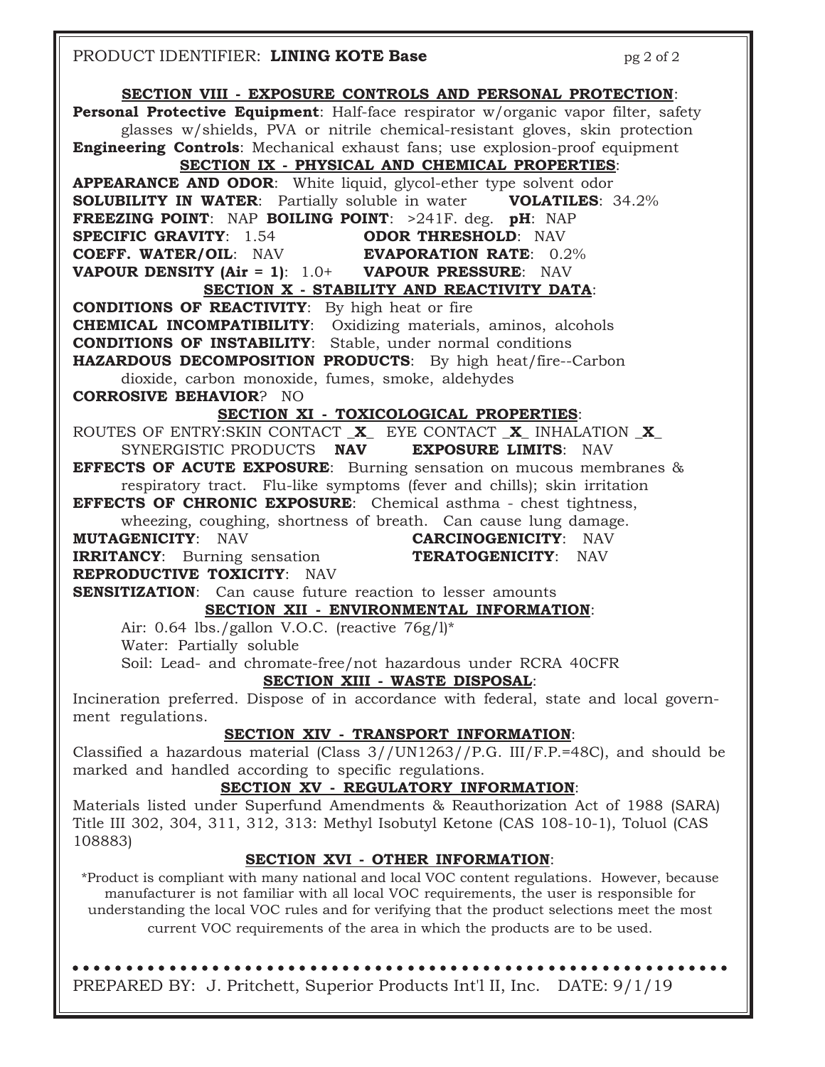### PRODUCT IDENTIFIER: **LINING KOTE Base** pg 2 of 2 **SECTION VIII - EXPOSURE CONTROLS AND PERSONAL PROTECTION**: **Personal Protective Equipment**: Half-face respirator w/organic vapor filter, safety glasses w/shields, PVA or nitrile chemical-resistant gloves, skin protection **Engineering Controls**: Mechanical exhaust fans; use explosion-proof equipment **SECTION IX - PHYSICAL AND CHEMICAL PROPERTIES**: **APPEARANCE AND ODOR**: White liquid, glycol-ether type solvent odor **SOLUBILITY IN WATER:** Partially soluble in water **VOLATILES:** 34.2% **FREEZING POINT**: NAP **BOILING POINT**: >241F. deg. **pH**: NAP **SPECIFIC GRAVITY**: 1.54 **ODOR THRESHOLD**: NAV **COEFF. WATER/OIL**: NAV **EVAPORATION RATE**: 0.2% **VAPOUR DENSITY (Air = 1)**: 1.0+ **VAPOUR PRESSURE**: NAV **SECTION X - STABILITY AND REACTIVITY DATA**: **CONDITIONS OF REACTIVITY**: By high heat or fire **CHEMICAL INCOMPATIBILITY**: Oxidizing materials, aminos, alcohols **CONDITIONS OF INSTABILITY**: Stable, under normal conditions **HAZARDOUS DECOMPOSITION PRODUCTS**: By high heat/fire--Carbon dioxide, carbon monoxide, fumes, smoke, aldehydes **CORROSIVE BEHAVIOR**? NO **SECTION XI - TOXICOLOGICAL PROPERTIES**: ROUTES OF ENTRY:SKIN CONTACT \_**X**\_ EYE CONTACT \_**X**\_ INHALATION \_**X**\_ SYNERGISTIC PRODUCTS **NAV EXPOSURE LIMITS**: NAV **EFFECTS OF ACUTE EXPOSURE**: Burning sensation on mucous membranes & respiratory tract. Flu-like symptoms (fever and chills); skin irritation **EFFECTS OF CHRONIC EXPOSURE**: Chemical asthma - chest tightness, wheezing, coughing, shortness of breath. Can cause lung damage. **MUTAGENICITY**: NAV **CARCINOGENICITY**: NAV **IRRITANCY**: Burning sensation **TERATOGENICITY**: NAV **REPRODUCTIVE TOXICITY**: NAV **SENSITIZATION**: Can cause future reaction to lesser amounts **SECTION XII - ENVIRONMENTAL INFORMATION**: Air:  $0.64$  lbs./gallon V.O.C. (reactive  $76g/l$ <sup>\*</sup> Water: Partially soluble Soil: Lead- and chromate-free/not hazardous under RCRA 40CFR **SECTION XIII - WASTE DISPOSAL**: Incineration preferred. Dispose of in accordance with federal, state and local government regulations. **SECTION XIV - TRANSPORT INFORMATION**: Classified a hazardous material (Class 3//UN1263//P.G. III/F.P.=48C), and should be marked and handled according to specific regulations. **SECTION XV - REGULATORY INFORMATION**: Materials listed under Superfund Amendments & Reauthorization Act of 1988 (SARA) Title III 302, 304, 311, 312, 313: Methyl Isobutyl Ketone (CAS 108-10-1), Toluol (CAS 108883) **SECTION XVI - OTHER INFORMATION**: \*Product is compliant with many national and local VOC content regulations. However, because manufacturer is not familiar with all local VOC requirements, the user is responsible for understanding the local VOC rules and for verifying that the product selections meet the most current VOC requirements of the area in which the products are to be used.

PREPARED BY:J. Pritchett, Superior Products Int'l II, Inc. DATE: 9/1/19 ○○○○○○○○○○○○○○○○○○○○○○○○○○○○○○○○○○○○○○○○○○○○○○○○○○○○○○○○○ ○○○○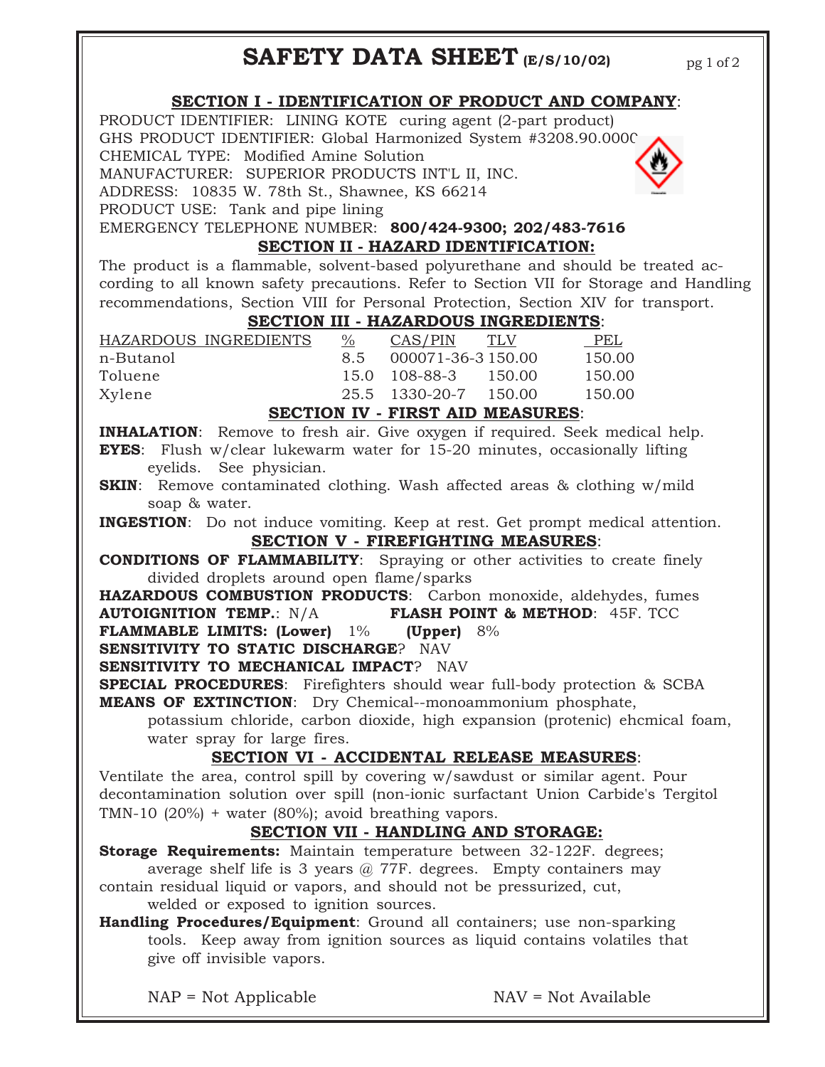# **SAFETY DATA SHEET (E/S/10/02)**

### **SECTION I - IDENTIFICATION OF PRODUCT AND COMPANY**:

PRODUCT IDENTIFIER: LINING KOTE curing agent (2-part product) GHS PRODUCT IDENTIFIER: Global Harmonized System #3208.90.0000 CHEMICAL TYPE: Modified Amine Solution MANUFACTURER: SUPERIOR PRODUCTS INT'L II, INC.

ADDRESS: 10835 W. 78th St., Shawnee, KS 66214

PRODUCT USE: Tank and pipe lining

EMERGENCY TELEPHONE NUMBER: **800/424-9300; 202/483-7616 SECTION II - HAZARD IDENTIFICATION:**

The product is a flammable, solvent-based polyurethane and should be treated according to all known safety precautions. Refer to Section VII for Storage and Handling recommendations, Section VIII for Personal Protection, Section XIV for transport.

## **SECTION III - HAZARDOUS INGREDIENTS**:

| HAZARDOUS INGREDIENTS | $\%$ | CAS/PIN            | TLV      | <b>PEL</b> |
|-----------------------|------|--------------------|----------|------------|
| n-Butanol             | 8.5  | 000071-36-3 150.00 |          | 150.00     |
| Toluene               |      | 15.0 108-88-3      | 150.00   | 150.00     |
| Xylene                |      | 25.5 1330-20-7     | - 150.00 | 150.00     |

#### **SECTION IV - FIRST AID MEASURES**:

**INHALATION**: Remove to fresh air. Give oxygen if required. Seek medical help. **EYES**: Flush w/clear lukewarm water for 15-20 minutes, occasionally lifting eyelids. See physician.

**SKIN:** Remove contaminated clothing. Wash affected areas & clothing w/mild soap & water.

**INGESTION**: Do not induce vomiting. Keep at rest. Get prompt medical attention. **SECTION V - FIREFIGHTING MEASURES**:

**CONDITIONS OF FLAMMABILITY**: Spraying or other activities to create finely divided droplets around open flame/sparks

**HAZARDOUS COMBUSTION PRODUCTS**: Carbon monoxide, aldehydes, fumes **AUTOIGNITION TEMP.**: N/A **FLASH POINT & METHOD**: 45F. TCC

**FLAMMABLE LIMITS: (Lower)** 1% **(Upper)** 8%

**SENSITIVITY TO STATIC DISCHARGE**? NAV

**SENSITIVITY TO MECHANICAL IMPACT?** NAV

**SPECIAL PROCEDURES**: Firefighters should wear full-body protection & SCBA **MEANS OF EXTINCTION**: Dry Chemical--monoammonium phosphate,

potassium chloride, carbon dioxide, high expansion (protenic) ehcmical foam, water spray for large fires.

## **SECTION VI - ACCIDENTAL RELEASE MEASURES**:

Ventilate the area, control spill by covering w/sawdust or similar agent. Pour decontamination solution over spill (non-ionic surfactant Union Carbide's Tergitol TMN-10 (20%) + water (80%); avoid breathing vapors.

## **SECTION VII - HANDLING AND STORAGE:**

**Storage Requirements:** Maintain temperature between 32-122F. degrees;

average shelf life is 3 years  $\omega$  77F. degrees. Empty containers may contain residual liquid or vapors, and should not be pressurized, cut, welded or exposed to ignition sources.

**Handling Procedures/Equipment**: Ground all containers; use non-sparking tools. Keep away from ignition sources as liquid contains volatiles that give off invisible vapors.

 $NAP = Not Applicable$   $NAV = Not Available$